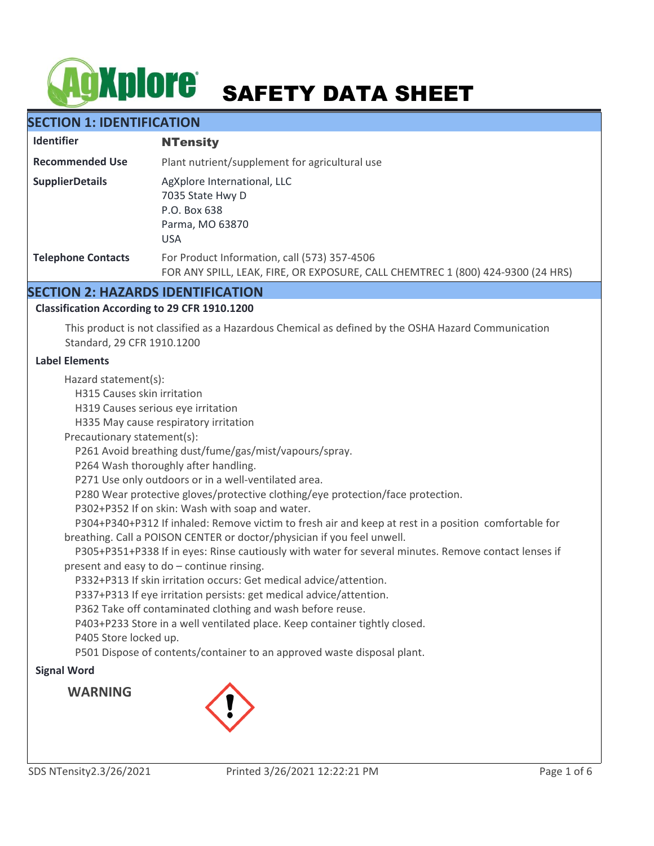# **AgXplore** SAFETY DATA SHEET

# **SECTION 1: IDENTIFICATION**

| <b>Identifier</b>         | <b>NTensity</b>                                                                                                                 |  |
|---------------------------|---------------------------------------------------------------------------------------------------------------------------------|--|
| <b>Recommended Use</b>    | Plant nutrient/supplement for agricultural use                                                                                  |  |
| <b>SupplierDetails</b>    | AgXplore International, LLC<br>7035 State Hwy D<br>P.O. Box 638<br>Parma, MO 63870<br><b>USA</b>                                |  |
| <b>Telephone Contacts</b> | For Product Information, call (573) 357-4506<br>FOR ANY SPILL, LEAK, FIRE, OR EXPOSURE, CALL CHEMTREC 1 (800) 424-9300 (24 HRS) |  |

# **SECTION 2: HAZARDS IDENTIFICATION**

# **Classification According to 29 CFR 1910.1200**

This product is not classified as a Hazardous Chemical as defined by the OSHA Hazard Communication Standard, 29 CFR 1910.1200

#### **Label Elements**

Hazard statement(s):

H315 Causes skin irritation

H319 Causes serious eye irritation

H335 May cause respiratory irritation

Precautionary statement(s):

P261 Avoid breathing dust/fume/gas/mist/vapours/spray.

P264 Wash thoroughly after handling.

P271 Use only outdoors or in a well-ventilated area.

P280 Wear protective gloves/protective clothing/eye protection/face protection.

P302+P352 If on skin: Wash with soap and water.

 P304+P340+P312 If inhaled: Remove victim to fresh air and keep at rest in a position comfortable for breathing. Call a POISON CENTER or doctor/physician if you feel unwell.

 P305+P351+P338 If in eyes: Rinse cautiously with water for several minutes. Remove contact lenses if present and easy to do – continue rinsing.

P332+P313 If skin irritation occurs: Get medical advice/attention.

P337+P313 If eye irritation persists: get medical advice/attention.

P362 Take off contaminated clothing and wash before reuse.

P403+P233 Store in a well ventilated place. Keep container tightly closed.

P405 Store locked up.

P501 Dispose of contents/container to an approved waste disposal plant.

# **Signal Word**

**WARNING**

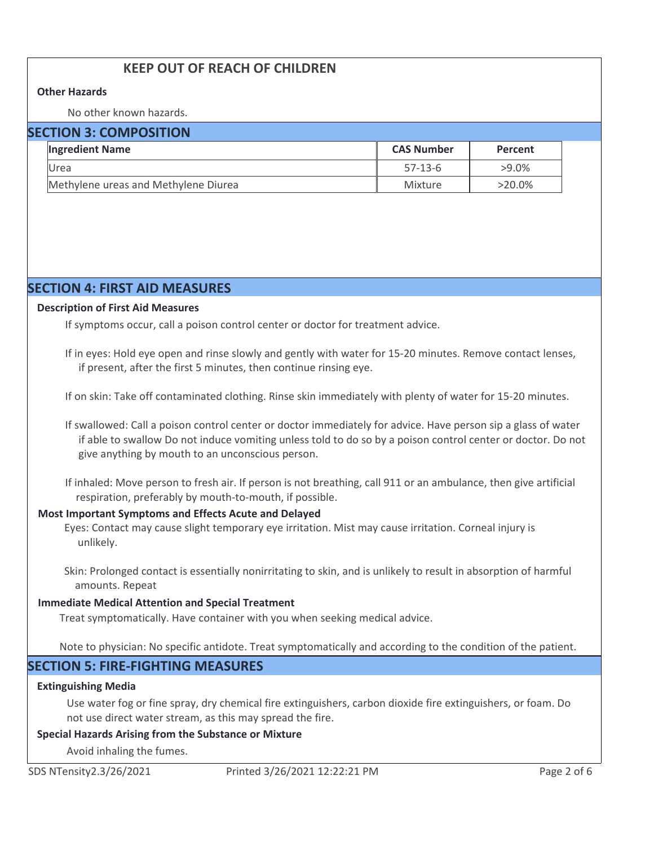# **KEEP OUT OF REACH OF CHILDREN**

#### **Other Hazards**

No other known hazards.

## **SECTION 3: COMPOSITION**

| <b>Ingredient Name</b>               | <b>CAS Number</b> | <b>Percent</b> |
|--------------------------------------|-------------------|----------------|
| Urea                                 | $57-13-6$         | $>9.0\%$       |
| Methylene ureas and Methylene Diurea | Mixture           | $>20.0\%$      |

# **SECTION 4: FIRST AID MEASURES**

#### **Description of First Aid Measures**

If symptoms occur, call a poison control center or doctor for treatment advice.

If in eyes: Hold eye open and rinse slowly and gently with water for 15-20 minutes. Remove contact lenses, if present, after the first 5 minutes, then continue rinsing eye.

If on skin: Take off contaminated clothing. Rinse skin immediately with plenty of water for 15-20 minutes.

If swallowed: Call a poison control center or doctor immediately for advice. Have person sip a glass of water if able to swallow Do not induce vomiting unless told to do so by a poison control center or doctor. Do not give anything by mouth to an unconscious person.

If inhaled: Move person to fresh air. If person is not breathing, call 911 or an ambulance, then give artificial respiration, preferably by mouth-to-mouth, if possible.

#### **Most Important Symptoms and Effects Acute and Delayed**

Eyes: Contact may cause slight temporary eye irritation. Mist may cause irritation. Corneal injury is unlikely.

Skin: Prolonged contact is essentially nonirritating to skin, and is unlikely to result in absorption of harmful amounts. Repeat

#### **Immediate Medical Attention and Special Treatment**

Treat symptomatically. Have container with you when seeking medical advice.

Note to physician: No specific antidote. Treat symptomatically and according to the condition of the patient.

# **SECTION 5: FIRE-FIGHTING MEASURES**

#### **Extinguishing Media**

Use water fog or fine spray, dry chemical fire extinguishers, carbon dioxide fire extinguishers, or foam. Do not use direct water stream, as this may spread the fire.

#### **Special Hazards Arising from the Substance or Mixture**

Avoid inhaling the fumes.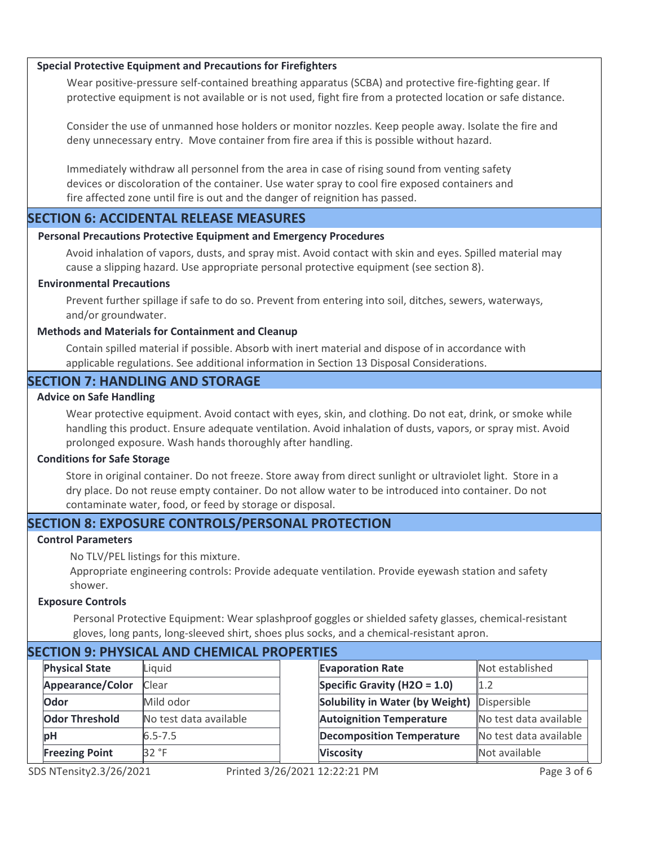#### **Special Protective Equipment and Precautions for Firefighters**

Wear positive-pressure self-contained breathing apparatus (SCBA) and protective fire-fighting gear. If protective equipment is not available or is not used, fight fire from a protected location or safe distance.

Consider the use of unmanned hose holders or monitor nozzles. Keep people away. Isolate the fire and deny unnecessary entry. Move container from fire area if this is possible without hazard.

Immediately withdraw all personnel from the area in case of rising sound from venting safety devices or discoloration of the container. Use water spray to cool fire exposed containers and fire affected zone until fire is out and the danger of reignition has passed.

# **SECTION 6: ACCIDENTAL RELEASE MEASURES**

#### **Personal Precautions Protective Equipment and Emergency Procedures**

Avoid inhalation of vapors, dusts, and spray mist. Avoid contact with skin and eyes. Spilled material may cause a slipping hazard. Use appropriate personal protective equipment (see section 8).

#### **Environmental Precautions**

Prevent further spillage if safe to do so. Prevent from entering into soil, ditches, sewers, waterways, and/or groundwater.

#### **Methods and Materials for Containment and Cleanup**

Contain spilled material if possible. Absorb with inert material and dispose of in accordance with applicable regulations. See additional information in Section 13 Disposal Considerations.

# **SECTION 7: HANDLING AND STORAGE**

#### **Advice on Safe Handling**

Wear protective equipment. Avoid contact with eyes, skin, and clothing. Do not eat, drink, or smoke while handling this product. Ensure adequate ventilation. Avoid inhalation of dusts, vapors, or spray mist. Avoid prolonged exposure. Wash hands thoroughly after handling.

#### **Conditions for Safe Storage**

Store in original container. Do not freeze. Store away from direct sunlight or ultraviolet light. Store in a dry place. Do not reuse empty container. Do not allow water to be introduced into container. Do not contaminate water, food, or feed by storage or disposal.

# **SECTION 8: EXPOSURE CONTROLS/PERSONAL PROTECTION**

#### **Control Parameters**

No TLV/PEL listings for this mixture.

Appropriate engineering controls: Provide adequate ventilation. Provide eyewash station and safety shower.

#### **Exposure Controls**

Personal Protective Equipment: Wear splashproof goggles or shielded safety glasses, chemical-resistant gloves, long pants, long-sleeved shirt, shoes plus socks, and a chemical-resistant apron.

| SECTION 9. PHTSICAL AND CHEMICAL PROPERTIES |                       |                        |  |                                  |                        |  |
|---------------------------------------------|-----------------------|------------------------|--|----------------------------------|------------------------|--|
|                                             | <b>Physical State</b> | Liquid                 |  | <b>Evaporation Rate</b>          | Not established        |  |
|                                             | Appearance/Color      | Clear                  |  | Specific Gravity (H2O = $1.0$ )  | 1.2                    |  |
|                                             | Odor                  | Mild odor              |  | Solubility in Water (by Weight)  | Dispersible            |  |
|                                             | <b>Odor Threshold</b> | No test data available |  | <b>Autoignition Temperature</b>  | No test data available |  |
|                                             | рH                    | $6.5 - 7.5$            |  | <b>Decomposition Temperature</b> | No test data available |  |
|                                             | <b>Freezing Point</b> | 32 °F                  |  | <b>Viscosity</b>                 | Not available          |  |

# **SECTION 9: PHYSICAL AND CHEMICAL PROPERTIES**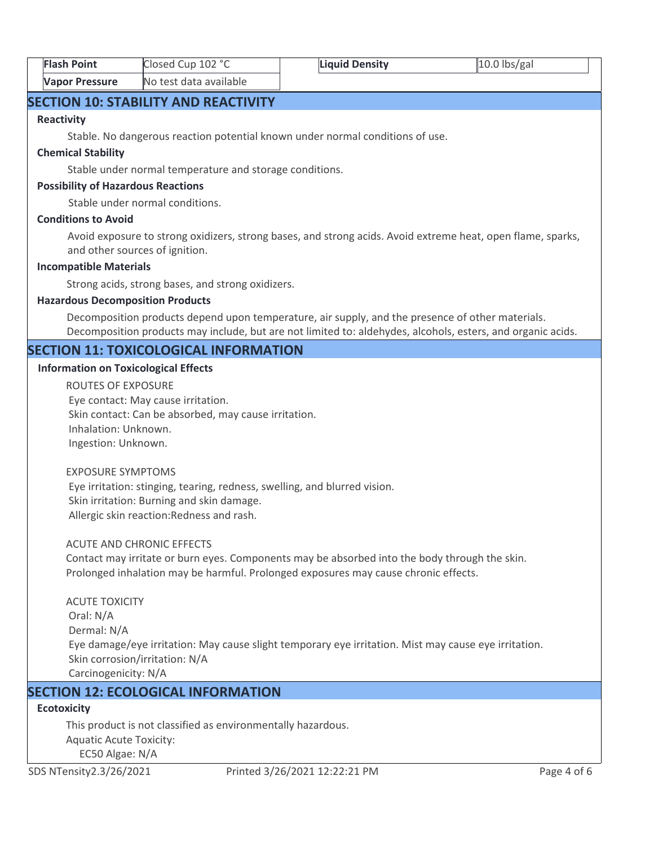| <b>Flash Point</b>    | Closed Cup 102 °C      | Liquid Density | $10.0$ lbs/gal |  |
|-----------------------|------------------------|----------------|----------------|--|
| <b>Vapor Pressure</b> | No test data available |                |                |  |

# **SECTION 10: STABILITY AND REACTIVITY**

#### **Reactivity**

Stable. No dangerous reaction potential known under normal conditions of use.

#### **Chemical Stability**

Stable under normal temperature and storage conditions.

#### **Possibility of Hazardous Reactions**

Stable under normal conditions.

#### **Conditions to Avoid**

Avoid exposure to strong oxidizers, strong bases, and strong acids. Avoid extreme heat, open flame, sparks, and other sources of ignition.

#### **Incompatible Materials**

Strong acids, strong bases, and strong oxidizers.

#### **Hazardous Decomposition Products**

Decomposition products depend upon temperature, air supply, and the presence of other materials. Decomposition products may include, but are not limited to: aldehydes, alcohols, esters, and organic acids.

# **SECTION 11: TOXICOLOGICAL INFORMATION**

#### **Information on Toxicological Effects**

ROUTES OF EXPOSURE Eye contact: May cause irritation. Skin contact: Can be absorbed, may cause irritation. Inhalation: Unknown. Ingestion: Unknown.

#### EXPOSURE SYMPTOMS

 Eye irritation: stinging, tearing, redness, swelling, and blurred vision. Skin irritation: Burning and skin damage. Allergic skin reaction:Redness and rash.

#### ACUTE AND CHRONIC EFFECTS

Contact may irritate or burn eyes. Components may be absorbed into the body through the skin. Prolonged inhalation may be harmful. Prolonged exposures may cause chronic effects.

ACUTE TOXICITY Oral: N/A Dermal: N/A Eye damage/eye irritation: May cause slight temporary eye irritation. Mist may cause eye irritation. Skin corrosion/irritation: N/A Carcinogenicity: N/A

# **SECTION 12: ECOLOGICAL INFORMATION**

# **Ecotoxicity**

This product is not classified as environmentally hazardous. Aquatic Acute Toxicity: EC50 Algae: N/A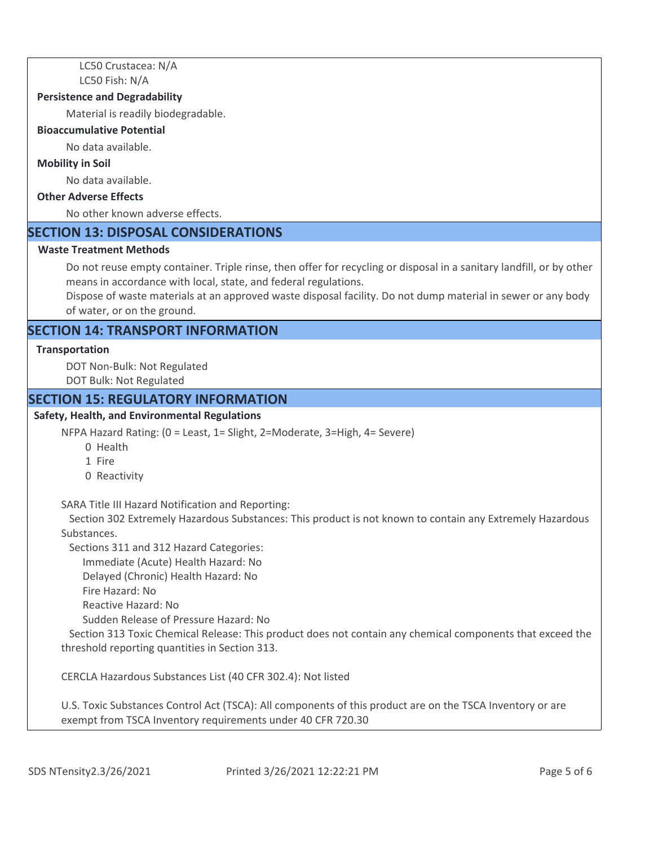LC50 Crustacea: N/A LC50 Fish: N/A

#### **Persistence and Degradability**

Material is readily biodegradable.

#### **Bioaccumulative Potential**

No data available.

#### **Mobility in Soil**

No data available.

# **Other Adverse Effects**

No other known adverse effects.

# **SECTION 13: DISPOSAL CONSIDERATIONS**

#### **Waste Treatment Methods**

Do not reuse empty container. Triple rinse, then offer for recycling or disposal in a sanitary landfill, or by other means in accordance with local, state, and federal regulations.

Dispose of waste materials at an approved waste disposal facility. Do not dump material in sewer or any body of water, or on the ground.

# **SECTION 14: TRANSPORT INFORMATION**

#### **Transportation**

DOT Non-Bulk: Not Regulated DOT Bulk: Not Regulated

#### **SECTION 15: REGULATORY INFORMATION**

#### **Safety, Health, and Environmental Regulations**

NFPA Hazard Rating: (0 = Least, 1= Slight, 2=Moderate, 3=High, 4= Severe)

- 0 Health
- 1 Fire
- 0 Reactivity

SARA Title III Hazard Notification and Reporting:

 Section 302 Extremely Hazardous Substances: This product is not known to contain any Extremely Hazardous Substances.

Sections 311 and 312 Hazard Categories:

Immediate (Acute) Health Hazard: No

Delayed (Chronic) Health Hazard: No

Fire Hazard: No

Reactive Hazard: No

Sudden Release of Pressure Hazard: No

 Section 313 Toxic Chemical Release: This product does not contain any chemical components that exceed the threshold reporting quantities in Section 313.

CERCLA Hazardous Substances List (40 CFR 302.4): Not listed

U.S. Toxic Substances Control Act (TSCA): All components of this product are on the TSCA Inventory or are exempt from TSCA Inventory requirements under 40 CFR 720.30